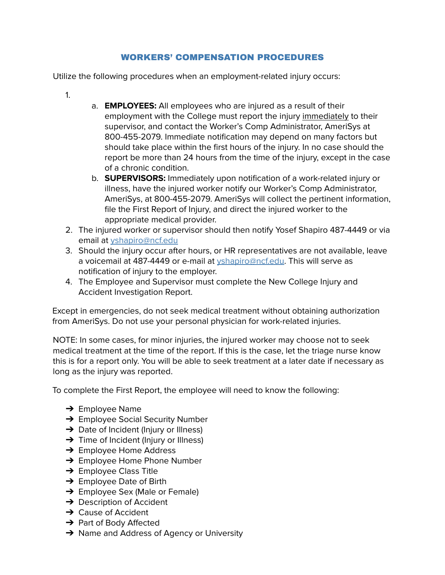## WORKERS' COMPENSATION PROCEDURES

Utilize the following procedures when an employment-related injury occurs:

- 1.
- a. **EMPLOYEES:** All employees who are injured as a result of their employment with the College must report the injury immediately to their supervisor, and contact the Worker's Comp Administrator, AmeriSys at 800-455-2079. Immediate notification may depend on many factors but should take place within the first hours of the injury. In no case should the report be more than 24 hours from the time of the injury, except in the case of a chronic condition.
- b. **SUPERVISORS:** Immediately upon notification of a work-related injury or illness, have the injured worker notify our Worker's Comp Administrator, AmeriSys, at 800-455-2079. AmeriSys will collect the pertinent information, file the First Report of Injury, and direct the injured worker to the appropriate medical provider.
- 2. The injured worker or supervisor should then notify Yosef Shapiro 487-4449 or via email at [yshapiro@ncf.edu](mailto:yshapiro@ncf.edu)
- 3. Should the injury occur after hours, or HR representatives are not available, leave a voicemail at 487-4449 or e-mail at *[yshapiro@ncf.edu](mailto:yshapiro@ncf.edu)*. This will serve as notification of injury to the employer.
- 4. The Employee and Supervisor must complete the New College Injury and Accident Investigation Report.

Except in emergencies, do not seek medical treatment without obtaining authorization from AmeriSys. Do not use your personal physician for work-related injuries.

NOTE: In some cases, for minor injuries, the injured worker may choose not to seek medical treatment at the time of the report. If this is the case, let the triage nurse know this is for a report only. You will be able to seek treatment at a later date if necessary as long as the injury was reported.

To complete the First Report, the employee will need to know the following:

- $\rightarrow$  Employee Name
- **→ Employee Social Security Number**
- $\rightarrow$  Date of Incident (Injury or Illness)
- → Time of Incident (Injury or Illness)
- **→ Employee Home Address**
- → Employee Home Phone Number
- $\rightarrow$  Employee Class Title
- $\rightarrow$  Employee Date of Birth
- **→** Employee Sex (Male or Female)
- $\rightarrow$  Description of Accident
- $\rightarrow$  Cause of Accident
- **→** Part of Body Affected
- **→** Name and Address of Agency or University